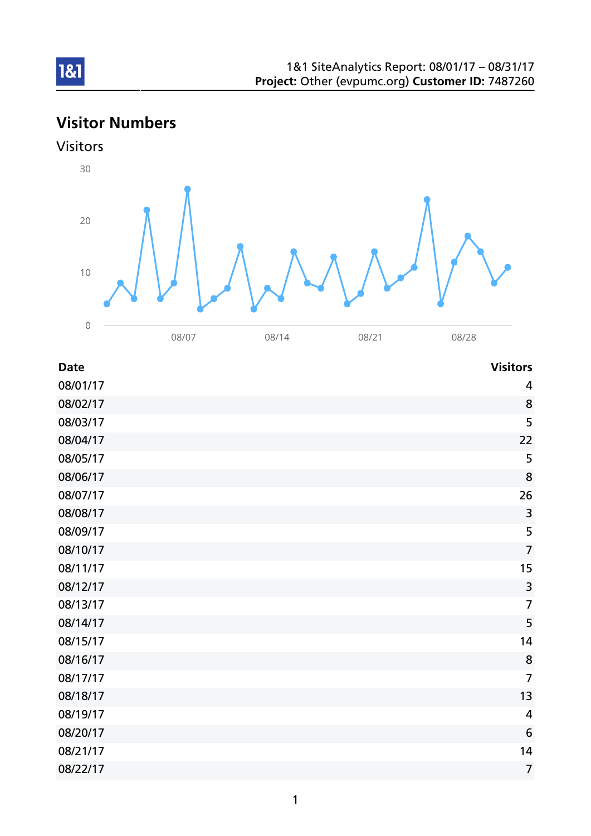# Visitor Numbers





| <b>Date</b> | <b>Visitors</b> |
|-------------|-----------------|
| 08/01/17    | 4               |
| 08/02/17    | 8               |
| 08/03/17    | 5               |
| 08/04/17    | 22              |
| 08/05/17    | 5               |
| 08/06/17    | 8               |
| 08/07/17    | 26              |
| 08/08/17    | $\overline{3}$  |
| 08/09/17    | 5               |
| 08/10/17    | $\overline{7}$  |
| 08/11/17    | 15              |
| 08/12/17    | $\overline{3}$  |
| 08/13/17    | $\overline{7}$  |
| 08/14/17    | 5               |
| 08/15/17    | 14              |
| 08/16/17    | 8               |
| 08/17/17    | $\overline{7}$  |
| 08/18/17    | 13              |
| 08/19/17    | $\overline{4}$  |
| 08/20/17    | $6\phantom{1}6$ |
| 08/21/17    | 14              |
| 08/22/17    | $\overline{7}$  |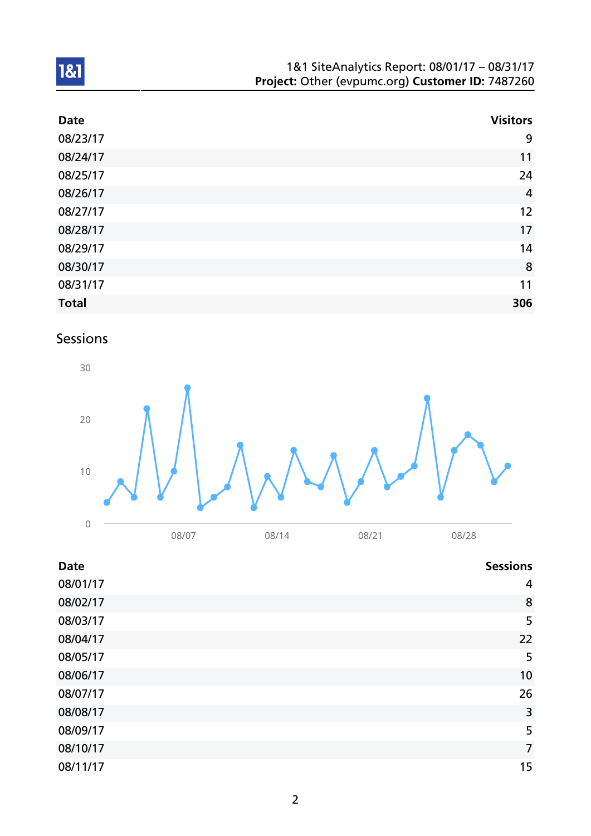| 1&1 SiteAnalytics Report: 08/01/17 - 08/31/17    |  |
|--------------------------------------------------|--|
| Project: Other (evpumc.org) Customer ID: 7487260 |  |

| <b>Date</b>  | <b>Visitors</b> |
|--------------|-----------------|
| 08/23/17     | 9               |
| 08/24/17     | 11              |
| 08/25/17     | 24              |
| 08/26/17     | $\overline{4}$  |
| 08/27/17     | 12              |
| 08/28/17     | 17              |
| 08/29/17     | 14              |
| 08/30/17     | 8               |
| 08/31/17     | 11              |
| <b>Total</b> | 306             |

# Sessions



| <b>Date</b> | <b>Sessions</b> |
|-------------|-----------------|
| 08/01/17    | 4               |
| 08/02/17    | 8               |
| 08/03/17    | 5               |
| 08/04/17    | 22              |
| 08/05/17    | 5               |
| 08/06/17    | 10              |
| 08/07/17    | 26              |
| 08/08/17    | 3               |
| 08/09/17    | 5               |
| 08/10/17    | $\overline{7}$  |
| 08/11/17    | 15              |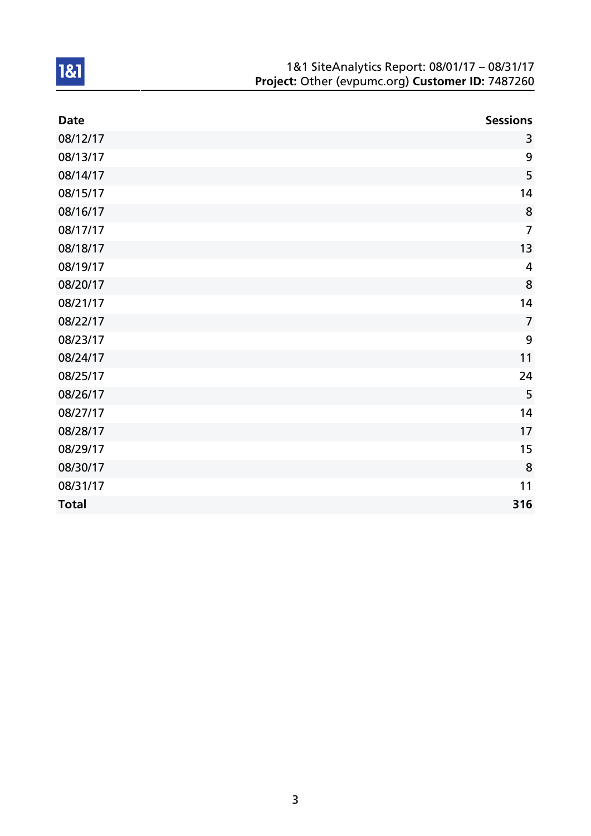| 1&1 SiteAnalytics Report: 08/01/17 - 08/31/17    |
|--------------------------------------------------|
| Project: Other (evpumc.org) Customer ID: 7487260 |

| <b>Date</b>  | <b>Sessions</b> |
|--------------|-----------------|
| 08/12/17     | 3               |
| 08/13/17     | 9               |
| 08/14/17     | 5               |
| 08/15/17     | 14              |
| 08/16/17     | 8               |
| 08/17/17     | $\overline{7}$  |
| 08/18/17     | 13              |
| 08/19/17     | $\overline{4}$  |
| 08/20/17     | 8               |
| 08/21/17     | 14              |
| 08/22/17     | $\overline{7}$  |
| 08/23/17     | 9               |
| 08/24/17     | 11              |
| 08/25/17     | 24              |
| 08/26/17     | 5               |
| 08/27/17     | 14              |
| 08/28/17     | 17              |
| 08/29/17     | 15              |
| 08/30/17     | 8               |
| 08/31/17     | 11              |
| <b>Total</b> | 316             |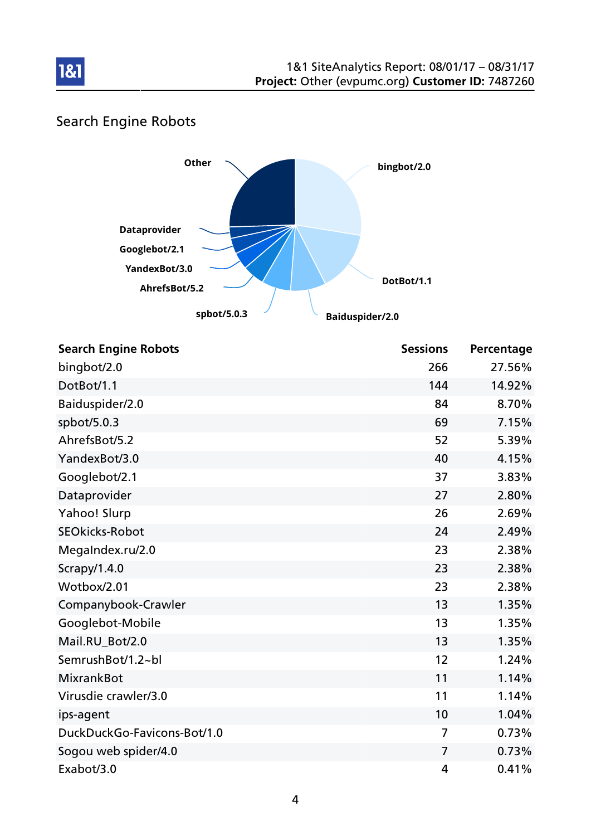

# Search Engine Robots

181



| <b>Search Engine Robots</b> | <b>Sessions</b> | Percentage |
|-----------------------------|-----------------|------------|
| bingbot/2.0                 | 266             | 27.56%     |
| DotBot/1.1                  | 144             | 14.92%     |
| Baiduspider/2.0             | 84              | 8.70%      |
| spbot/5.0.3                 | 69              | 7.15%      |
| AhrefsBot/5.2               | 52              | 5.39%      |
| YandexBot/3.0               | 40              | 4.15%      |
| Googlebot/2.1               | 37              | 3.83%      |
| Dataprovider                | 27              | 2.80%      |
| Yahoo! Slurp                | 26              | 2.69%      |
| <b>SEOkicks-Robot</b>       | 24              | 2.49%      |
| MegaIndex.ru/2.0            | 23              | 2.38%      |
| Scrapy/1.4.0                | 23              | 2.38%      |
| Wotbox/2.01                 | 23              | 2.38%      |
| Companybook-Crawler         | 13              | 1.35%      |
| Googlebot-Mobile            | 13              | 1.35%      |
| Mail.RU_Bot/2.0             | 13              | 1.35%      |
| SemrushBot/1.2~bl           | 12              | 1.24%      |
| <b>MixrankBot</b>           | 11              | 1.14%      |
| Virusdie crawler/3.0        | 11              | 1.14%      |
| ips-agent                   | 10              | 1.04%      |
| DuckDuckGo-Favicons-Bot/1.0 | 7               | 0.73%      |
| Sogou web spider/4.0        | $\overline{7}$  | 0.73%      |
| Exabot/3.0                  | 4               | 0.41%      |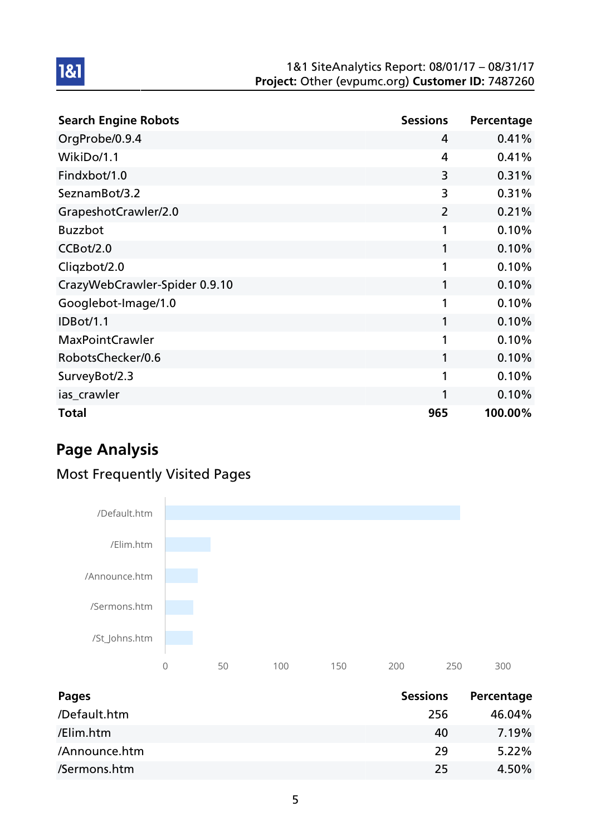#### 1&1 SiteAnalytics Report: 08/01/17 – 08/31/17 Project: Other (evpumc.org) Customer ID: 7487260

| <b>Search Engine Robots</b>   | <b>Sessions</b> | Percentage |
|-------------------------------|-----------------|------------|
| OrgProbe/0.9.4                | 4               | 0.41%      |
| WikiDo/1.1                    | 4               | 0.41%      |
| Findxbot/1.0                  | 3               | 0.31%      |
| SeznamBot/3.2                 | 3               | 0.31%      |
| GrapeshotCrawler/2.0          | $\overline{2}$  | 0.21%      |
| <b>Buzzbot</b>                | 1               | 0.10%      |
| CCBot/2.0                     | 1               | 0.10%      |
| Cliqzbot/2.0                  | 1               | 0.10%      |
| CrazyWebCrawler-Spider 0.9.10 | 1               | 0.10%      |
| Googlebot-Image/1.0           | 1               | 0.10%      |
| <b>IDBot/1.1</b>              | 1               | 0.10%      |
| <b>MaxPointCrawler</b>        | 1               | 0.10%      |
| RobotsChecker/0.6             | 1               | 0.10%      |
| SurveyBot/2.3                 | 1               | 0.10%      |
| ias_crawler                   | 1               | 0.10%      |
| <b>Total</b>                  | 965             | 100.00%    |

# Page Analysis

1&1

## Most Frequently Visited Pages



| Pages         | <b>Sessions</b> | Percentage |
|---------------|-----------------|------------|
| /Default.htm  | 256             | 46.04%     |
| /Elim.htm     | 40              | 7.19%      |
| /Announce.htm | 29              | $5.22\%$   |
| /Sermons.htm  | 25              | 4.50%      |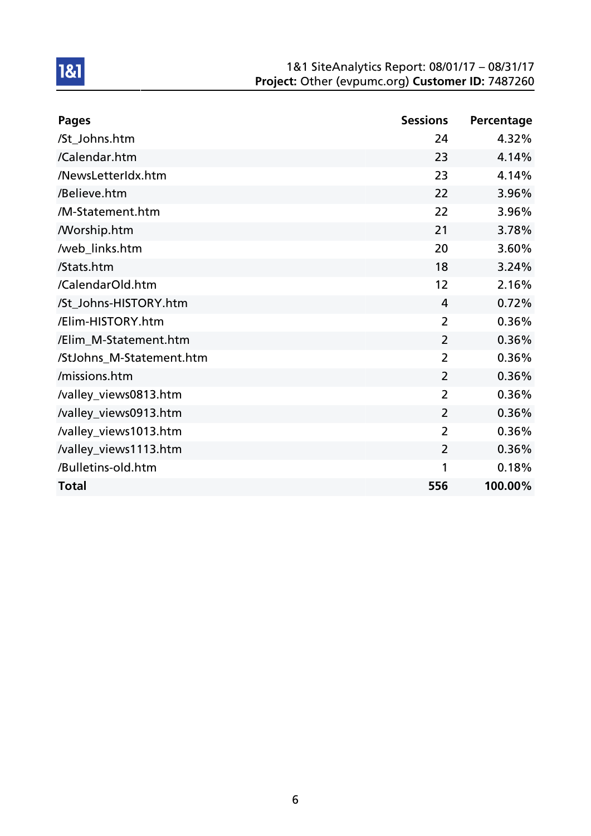#### 1&1 SiteAnalytics Report: 08/01/17 – 08/31/17 Project: Other (evpumc.org) Customer ID: 7487260

| Pages                    | <b>Sessions</b> | Percentage |
|--------------------------|-----------------|------------|
| /St_Johns.htm            | 24              | 4.32%      |
| /Calendar.htm            | 23              | 4.14%      |
| /NewsLetterIdx.htm       | 23              | 4.14%      |
| /Believe.htm             | 22              | 3.96%      |
| /M-Statement.htm         | 22              | 3.96%      |
| <b>Morship.htm</b>       | 21              | 3.78%      |
| /web_links.htm           | 20              | 3.60%      |
| /Stats.htm               | 18              | 3.24%      |
| /CalendarOld.htm         | 12              | 2.16%      |
| /St_Johns-HISTORY.htm    | 4               | 0.72%      |
| /Elim-HISTORY.htm        | $\overline{2}$  | 0.36%      |
| /Elim_M-Statement.htm    | $\overline{2}$  | 0.36%      |
| /StJohns_M-Statement.htm | 2               | 0.36%      |
| /missions.htm            | $\overline{2}$  | 0.36%      |
| /valley_views0813.htm    | 2               | 0.36%      |
| /valley_views0913.htm    | $\overline{2}$  | 0.36%      |
| /valley_views1013.htm    | $\overline{2}$  | 0.36%      |
| /valley_views1113.htm    | $\overline{2}$  | 0.36%      |
| /Bulletins-old.htm       | 1               | 0.18%      |
| <b>Total</b>             | 556             | 100.00%    |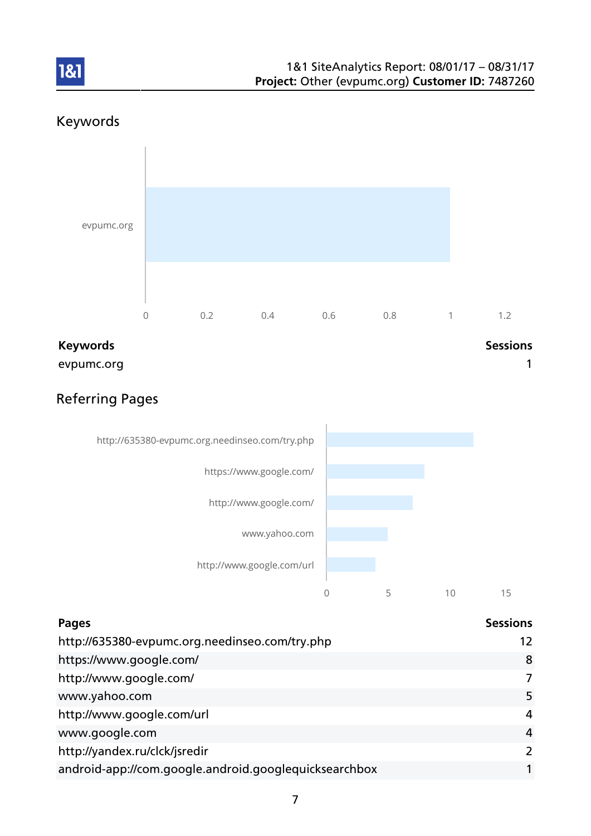

## Keywords

1&1



evpumc.org and the contract of the contract of the contract of the contract of the contract of the contract of the contract of the contract of the contract of the contract of the contract of the contract of the contract of

## Referring Pages



| <b>Pages</b>                                          | <b>Sessions</b> |
|-------------------------------------------------------|-----------------|
| http://635380-evpumc.org.needinseo.com/try.php        | 12              |
| https://www.google.com/                               | 8               |
| http://www.google.com/                                | 7               |
| www.yahoo.com                                         | 5               |
| http://www.google.com/url                             | 4               |
| www.google.com                                        | $\overline{4}$  |
| http://yandex.ru/clck/jsredir                         | $\mathcal{L}$   |
| android-app://com.google.android.googlequicksearchbox |                 |
|                                                       |                 |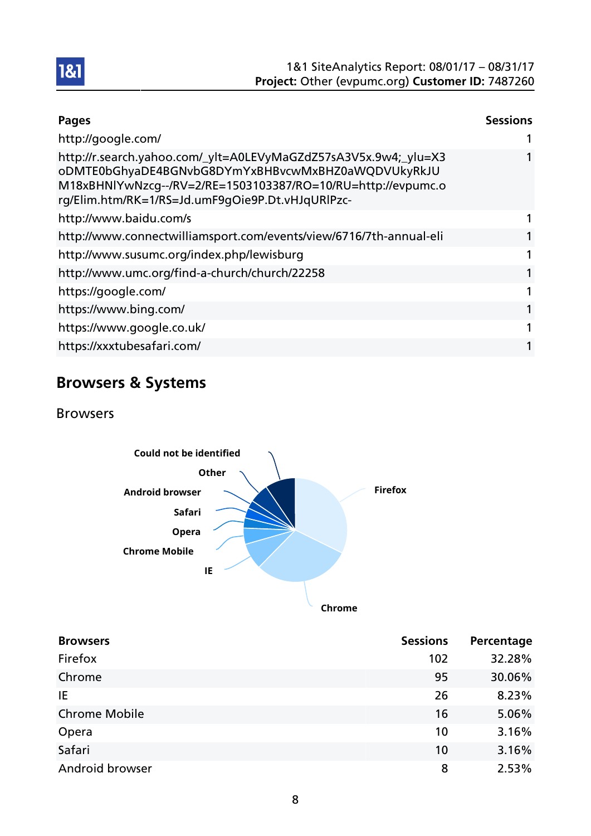

| <b>Pages</b>                                                                                                                                                                                                                              | <b>Sessions</b> |
|-------------------------------------------------------------------------------------------------------------------------------------------------------------------------------------------------------------------------------------------|-----------------|
| http://google.com/                                                                                                                                                                                                                        |                 |
| http://r.search.yahoo.com/_ylt=A0LEVyMaGZdZ57sA3V5x.9w4;_ylu=X3<br>oDMTE0bGhyaDE4BGNvbG8DYmYxBHBvcwMxBHZ0aWQDVUkyRkJU<br>M18xBHNlYwNzcg--/RV=2/RE=1503103387/RO=10/RU=http://evpumc.o<br>rg/Elim.htm/RK=1/RS=Jd.umF9gOie9P.Dt.vHJqURlPzc- |                 |
| http://www.baidu.com/s                                                                                                                                                                                                                    |                 |
| http://www.connectwilliamsport.com/events/view/6716/7th-annual-eli                                                                                                                                                                        | 1               |
| http://www.susumc.org/index.php/lewisburg                                                                                                                                                                                                 | 1               |
| http://www.umc.org/find-a-church/church/22258                                                                                                                                                                                             | 1               |
| https://google.com/                                                                                                                                                                                                                       | 1               |
| https://www.bing.com/                                                                                                                                                                                                                     | 1               |
| https://www.google.co.uk/                                                                                                                                                                                                                 | 1               |
| https://xxxtubesafari.com/                                                                                                                                                                                                                | 1               |

# Browsers & Systems

Browsers



| <b>Browsers</b>      | <b>Sessions</b> | Percentage |
|----------------------|-----------------|------------|
| Firefox              | 102             | 32.28%     |
| Chrome               | 95              | 30.06%     |
| IE                   | 26              | 8.23%      |
| <b>Chrome Mobile</b> | 16              | 5.06%      |
| Opera                | 10              | 3.16%      |
| Safari               | 10              | 3.16%      |
| Android browser      | 8               | 2.53%      |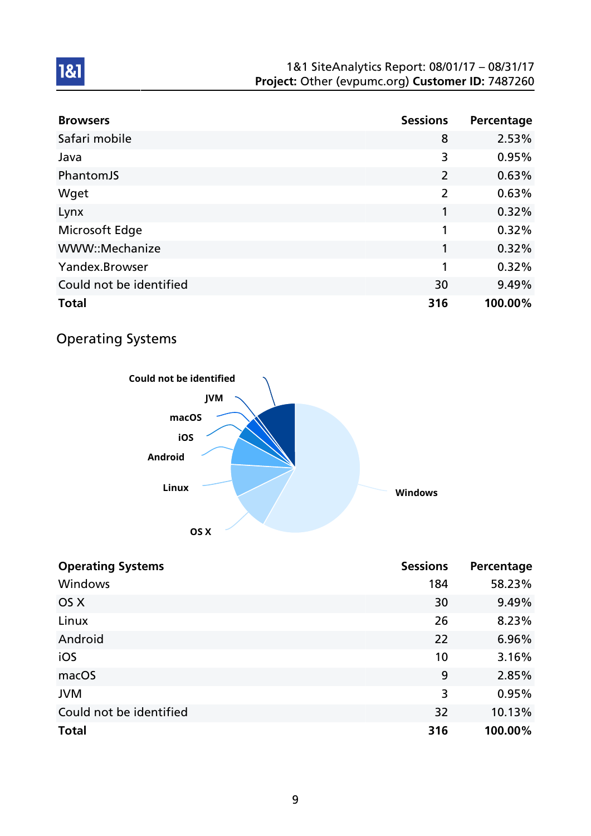#### 1&1 SiteAnalytics Report: 08/01/17 – 08/31/17 Project: Other (evpumc.org) Customer ID: 7487260

| <b>Browsers</b>         | <b>Sessions</b> | Percentage |
|-------------------------|-----------------|------------|
| Safari mobile           | 8               | 2.53%      |
| Java                    | 3               | 0.95%      |
| PhantomJS               | 2               | 0.63%      |
| Wget                    | $\overline{2}$  | 0.63%      |
| Lynx                    | 1               | 0.32%      |
| Microsoft Edge          | 1               | 0.32%      |
| WWW::Mechanize          | 1               | 0.32%      |
| Yandex.Browser          | 1               | 0.32%      |
| Could not be identified | 30              | 9.49%      |
| <b>Total</b>            | 316             | 100.00%    |

## Operating Systems



| <b>Operating Systems</b> | <b>Sessions</b> | Percentage |
|--------------------------|-----------------|------------|
| Windows                  | 184             | 58.23%     |
| OS X                     | 30              | 9.49%      |
| Linux                    | 26              | 8.23%      |
| Android                  | 22              | 6.96%      |
| iOS                      | 10              | 3.16%      |
| macOS                    | 9               | 2.85%      |
| <b>JVM</b>               | 3               | 0.95%      |
| Could not be identified  | 32              | 10.13%     |
| <b>Total</b>             | 316             | 100.00%    |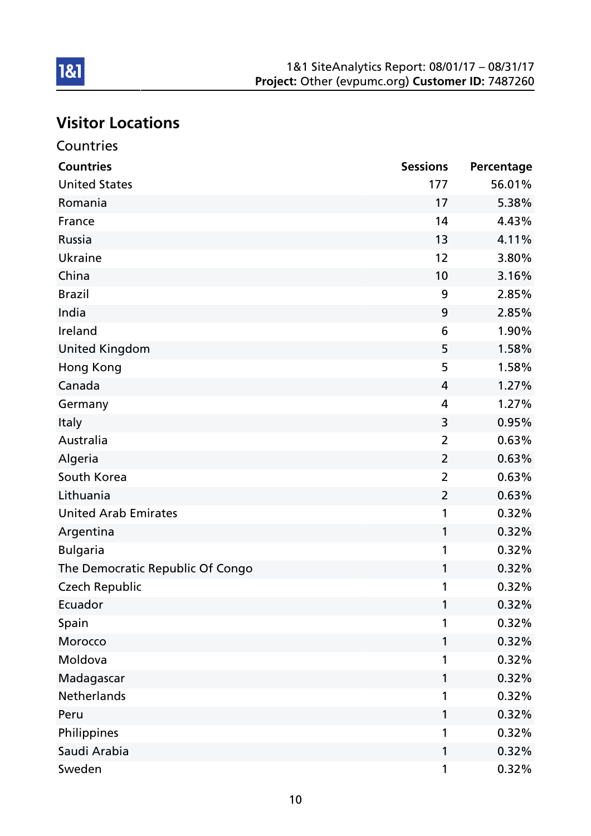# Visitor Locations

| Countries                        |                 |            |
|----------------------------------|-----------------|------------|
| <b>Countries</b>                 | <b>Sessions</b> | Percentage |
| <b>United States</b>             | 177             | 56.01%     |
| Romania                          | 17              | 5.38%      |
| France                           | 14              | 4.43%      |
| Russia                           | 13              | 4.11%      |
| <b>Ukraine</b>                   | 12              | 3.80%      |
| China                            | 10              | 3.16%      |
| <b>Brazil</b>                    | 9               | 2.85%      |
| India                            | 9               | 2.85%      |
| Ireland                          | 6               | 1.90%      |
| <b>United Kingdom</b>            | 5               | 1.58%      |
| Hong Kong                        | 5               | 1.58%      |
| Canada                           | 4               | 1.27%      |
| Germany                          | 4               | 1.27%      |
| Italy                            | 3               | 0.95%      |
| Australia                        | $\overline{2}$  | 0.63%      |
| Algeria                          | $\overline{2}$  | 0.63%      |
| South Korea                      | $\overline{2}$  | 0.63%      |
| Lithuania                        | $\overline{2}$  | 0.63%      |
| <b>United Arab Emirates</b>      | 1               | 0.32%      |
| Argentina                        | 1               | 0.32%      |
| <b>Bulgaria</b>                  | 1               | 0.32%      |
| The Democratic Republic Of Congo | 1               | 0.32%      |
| <b>Czech Republic</b>            | 1               | 0.32%      |
| Ecuador                          | 1               | 0.32%      |
| Spain                            | 1               | 0.32%      |
| Morocco                          | 1               | 0.32%      |
| Moldova                          | 1               | 0.32%      |
| Madagascar                       | 1               | 0.32%      |
| <b>Netherlands</b>               | 1               | 0.32%      |
| Peru                             | 1               | 0.32%      |
| Philippines                      | 1               | 0.32%      |
| Saudi Arabia                     | 1               | 0.32%      |
| Sweden                           | 1               | 0.32%      |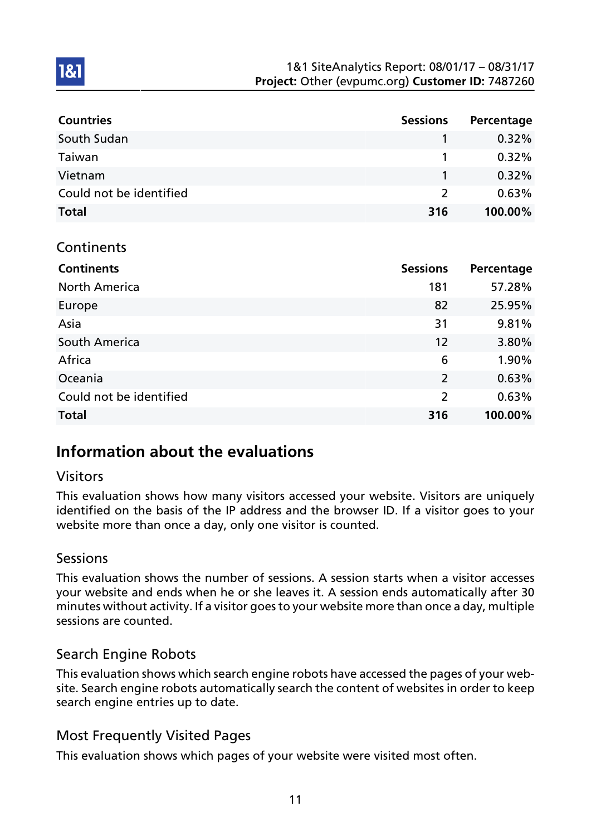| <b>Countries</b>        | <b>Sessions</b> | Percentage |
|-------------------------|-----------------|------------|
| South Sudan             |                 | $0.32\%$   |
| Taiwan                  |                 | $0.32\%$   |
| Vietnam                 |                 | 0.32%      |
| Could not be identified | $\mathcal{L}$   | 0.63%      |
| <b>Total</b>            | 316             | 100.00%    |

#### Continents

1&1

| <b>Continents</b>       | <b>Sessions</b> | Percentage |
|-------------------------|-----------------|------------|
| <b>North America</b>    | 181             | 57.28%     |
| Europe                  | 82              | 25.95%     |
| Asia                    | 31              | 9.81%      |
| South America           | 12              | 3.80%      |
| Africa                  | 6               | 1.90%      |
| Oceania                 | $\overline{2}$  | 0.63%      |
| Could not be identified | $\overline{2}$  | 0.63%      |
| <b>Total</b>            | 316             | 100.00%    |

## Information about the evaluations

#### Visitors

This evaluation shows how many visitors accessed your website. Visitors are uniquely identified on the basis of the IP address and the browser ID. If a visitor goes to your website more than once a day, only one visitor is counted.

#### **Sessions**

This evaluation shows the number of sessions. A session starts when a visitor accesses your website and ends when he or she leaves it. A session ends automatically after 30 minutes without activity. If a visitor goes to your website more than once a day, multiple sessions are counted.

#### Search Engine Robots

This evaluation shows which search engine robots have accessed the pages of your website. Search engine robots automatically search the content of websites in order to keep search engine entries up to date.

### Most Frequently Visited Pages

This evaluation shows which pages of your website were visited most often.